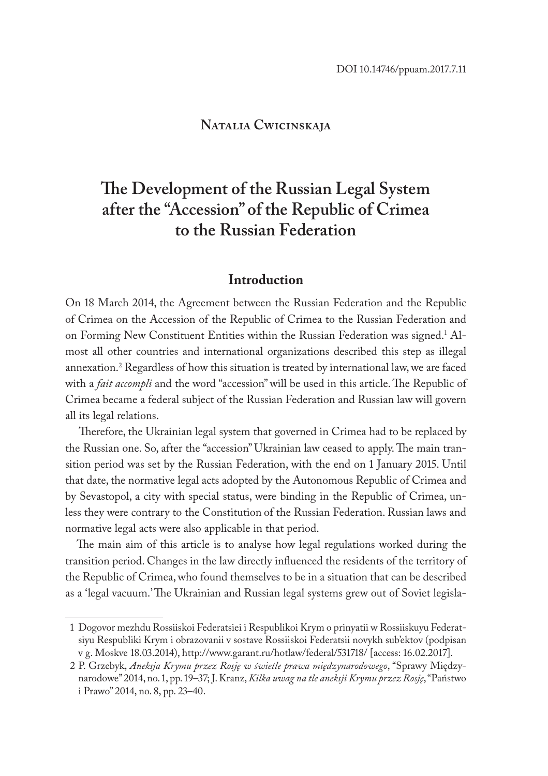# **Natalia Cwicinskaja**

# **The Development of the Russian Legal System after the "Accession" of the Republic of Crimea to the Russian Federation**

## **Introduction**

On 18 March 2014, the Agreement between the Russian Federation and the Republic of Crimea on the Accession of the Republic of Crimea to the Russian Federation and on Forming New Constituent Entities within the Russian Federation was signed.<sup>1</sup> Almost all other countries and international organizations described this step as illegal annexation.2 Regardless of how this situation is treated by international law, we are faced with a *fait accompli* and the word "accession" will be used in this article. The Republic of Crimea became a federal subject of the Russian Federation and Russian law will govern all its legal relations.

Therefore, the Ukrainian legal system that governed in Crimea had to be replaced by the Russian one. So, after the "accession" Ukrainian law ceased to apply. The main transition period was set by the Russian Federation, with the end on 1 January 2015. Until that date, the normative legal acts adopted by the Autonomous Republic of Crimea and by Sevastopol, a city with special status, were binding in the Republic of Crimea, unless they were contrary to the Constitution of the Russian Federation. Russian laws and normative legal acts were also applicable in that period.

The main aim of this article is to analyse how legal regulations worked during the transition period. Changes in the law directly influenced the residents of the territory of the Republic of Crimea, who found themselves to be in a situation that can be described as a 'legal vacuum.' The Ukrainian and Russian legal systems grew out of Soviet legisla-

<sup>1</sup> Dogovor mezhdu Rossiiskoi Federatsiei i Respublikoi Krym o prinyatii w Rossiiskuyu Federatsiyu Respubliki Krym i obrazovanii v sostave Rossiiskoi Federatsii novykh sub'ektov (podpisan v g. Moskve 18.03.2014), http://www.garant.ru/hotlaw/federal/531718/ [access: 16.02.2017].

<sup>2</sup> P. Grzebyk, *Aneksja Krymu przez Rosję w świetle prawa międzynarodowego*, "Sprawy Międzynarodowe" 2014, no. 1, pp. 19–37; J. Kranz, *Kilka uwag na tle aneksji Krymu przez Rosję*, "Państwo i Prawo" 2014, no. 8, pp. 23–40.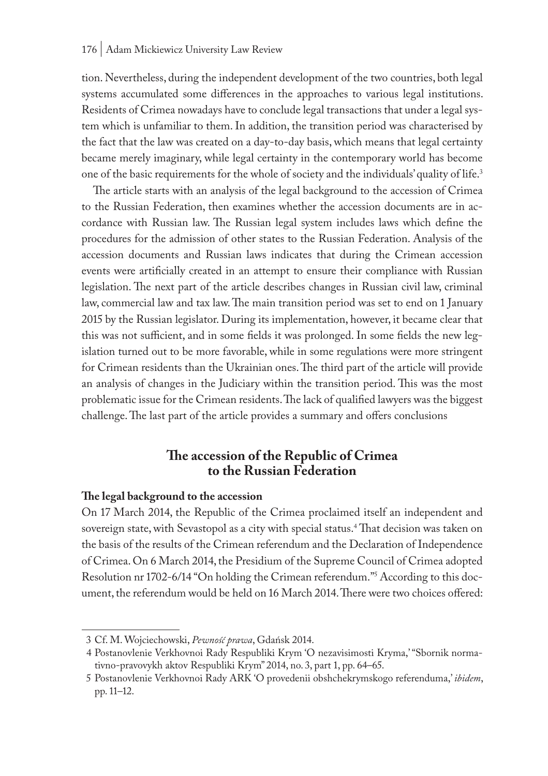#### 176 | Adam Mickiewicz University Law Review

tion. Nevertheless, during the independent development of the two countries, both legal systems accumulated some differences in the approaches to various legal institutions. Residents of Crimea nowadays have to conclude legal transactions that under a legal system which is unfamiliar to them. In addition, the transition period was characterised by the fact that the law was created on a day-to-day basis, which means that legal certainty became merely imaginary, while legal certainty in the contemporary world has become one of the basic requirements for the whole of society and the individuals' quality of life.3

The article starts with an analysis of the legal background to the accession of Crimea to the Russian Federation, then examines whether the accession documents are in accordance with Russian law. The Russian legal system includes laws which define the procedures for the admission of other states to the Russian Federation. Analysis of the accession documents and Russian laws indicates that during the Crimean accession events were artificially created in an attempt to ensure their compliance with Russian legislation. The next part of the article describes changes in Russian civil law, criminal law, commercial law and tax law. The main transition period was set to end on 1 January 2015 by the Russian legislator. During its implementation, however, it became clear that this was not sufficient, and in some fields it was prolonged. In some fields the new legislation turned out to be more favorable, while in some regulations were more stringent for Crimean residents than the Ukrainian ones. The third part of the article will provide an analysis of changes in the Judiciary within the transition period. This was the most problematic issue for the Crimean residents. The lack of qualified lawyers was the biggest challenge. The last part of the article provides a summary and offers conclusions

# **The accession of the Republic of Crimea to the Russian Federation**

#### **The legal background to the accession**

On 17 March 2014, the Republic of the Crimea proclaimed itself an independent and sovereign state, with Sevastopol as a city with special status.4 That decision was taken on the basis of the results of the Crimean referendum and the Declaration of Independence of Crimea. On 6 March 2014, the Presidium of the Supreme Council of Crimea adopted Resolution nr 1702-6/14 "On holding the Crimean referendum."5 According to this document, the referendum would be held on 16 March 2014. There were two choices offered:

<sup>3</sup> Cf. M. Wojciechowski, *Pewność prawa*, Gdańsk 2014.

<sup>4</sup> Postanovlenie Verkhovnoi Rady Respubliki Krym 'O nezavisimosti Kryma,' "Sbornik normativno-pravovykh aktov Respubliki Krym" 2014, no. 3, part 1, pp. 64–65.

<sup>5</sup> Postanovlenie Verkhovnoi Rady ARK 'O provedenii obshchekrymskogo referenduma,' *ibidem*, pp. 11–12.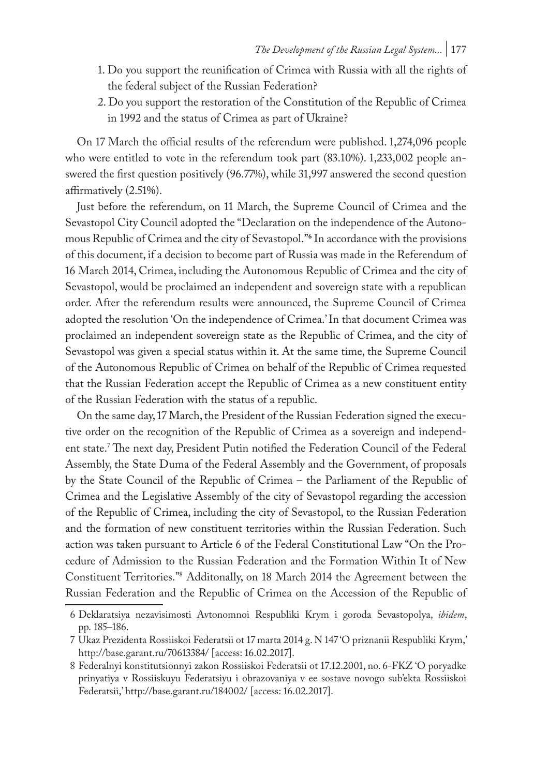- 1. Do you support the reunification of Crimea with Russia with all the rights of the federal subject of the Russian Federation?
- 2. Do you support the restoration of the Constitution of the Republic of Crimea in 1992 and the status of Crimea as part of Ukraine?

On 17 March the official results of the referendum were published. 1,274,096 people who were entitled to vote in the referendum took part (83.10%). 1,233,002 people answered the first question positively (96.77%), while 31,997 answered the second question affirmatively (2.51%).

Just before the referendum, on 11 March, the Supreme Council of Crimea and the Sevastopol City Council adopted the "Declaration on the independence of the Autonomous Republic of Crimea and the city of Sevastopol."**<sup>6</sup>** In accordance with the provisions of this document, if a decision to become part of Russia was made in the Referendum of 16 March 2014, Crimea, including the Autonomous Republic of Crimea and the city of Sevastopol, would be proclaimed an independent and sovereign state with a republican order. After the referendum results were announced, the Supreme Council of Crimea adopted the resolution 'On the independence of Crimea.' In that document Crimea was proclaimed an independent sovereign state as the Republic of Crimea, and the city of Sevastopol was given a special status within it. At the same time, the Supreme Council of the Autonomous Republic of Crimea on behalf of the Republic of Crimea requested that the Russian Federation accept the Republic of Crimea as a new constituent entity of the Russian Federation with the status of a republic.

On the same day, 17 March, the President of the Russian Federation signed the executive order on the recognition of the Republic of Crimea as a sovereign and independent state.7 The next day, President Putin notified the Federation Council of the Federal Assembly, the State Duma of the Federal Assembly and the Government, of proposals by the State Council of the Republic of Crimea – the Parliament of the Republic of Crimea and the Legislative Assembly of the city of Sevastopol regarding the accession of the Republic of Crimea, including the city of Sevastopol, to the Russian Federation and the formation of new constituent territories within the Russian Federation. Such action was taken pursuant to Article 6 of the Federal Constitutional Law "On the Procedure of Admission to the Russian Federation and the Formation Within It of New Constituent Territories."8 Additonally, on 18 March 2014 the Agreement between the Russian Federation and the Republic of Crimea on the Accession of the Republic of

<sup>6</sup> Deklaratsiya nezavisimosti Avtonomnoi Respubliki Krym i goroda Sevastopolya, *ibidem*, pp. 185–186.

<sup>7</sup> Ukaz Prezidenta Rossiiskoi Federatsii ot 17 marta 2014 g. N 147 'O priznanii Respubliki Krym,' http://base.garant.ru/70613384/ [access: 16.02.2017].

<sup>8</sup> Federalnyi konstitutsionnyi zakon Rossiiskoi Federatsii ot 17.12.2001, no. 6-FKZ 'O poryadke prinyatiya v Rossiiskuyu Federatsiyu i obrazovaniya v ee sostave novogo sub'ekta Rossiiskoi Federatsii,' http://base.garant.ru/184002/ [access: 16.02.2017].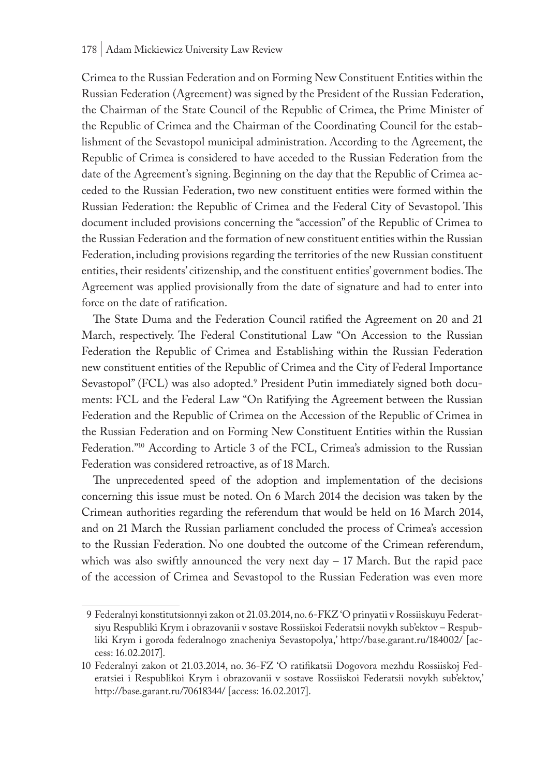Crimea to the Russian Federation and on Forming New Constituent Entities within the Russian Federation (Agreement) was signed by the President of the Russian Federation, the Chairman of the State Council of the Republic of Crimea, the Prime Minister of the Republic of Crimea and the Chairman of the Coordinating Council for the establishment of the Sevastopol municipal administration. According to the Agreement, the Republic of Crimea is considered to have acceded to the Russian Federation from the date of the Agreement's signing. Beginning on the day that the Republic of Crimea acceded to the Russian Federation, two new constituent entities were formed within the Russian Federation: the Republic of Crimea and the Federal City of Sevastopol. This document included provisions concerning the "accession" of the Republic of Crimea to the Russian Federation and the formation of new constituent entities within the Russian Federation, including provisions regarding the territories of the new Russian constituent entities, their residents' citizenship, and the constituent entities' government bodies. The Agreement was applied provisionally from the date of signature and had to enter into force on the date of ratification.

The State Duma and the Federation Council ratified the Agreement on 20 and 21 March, respectively. The Federal Constitutional Law "On Accession to the Russian Federation the Republic of Crimea and Establishing within the Russian Federation new constituent entities of the Republic of Crimea and the City of Federal Importance Sevastopol" (FCL) was also adopted.9 President Putin immediately signed both documents: FCL and the Federal Law "On Ratifying the Agreement between the Russian Federation and the Republic of Crimea on the Accession of the Republic of Crimea in the Russian Federation and on Forming New Constituent Entities within the Russian Federation."<sup>10</sup> According to Article 3 of the FCL, Crimea's admission to the Russian Federation was considered retroactive, as of 18 March.

The unprecedented speed of the adoption and implementation of the decisions concerning this issue must be noted. On 6 March 2014 the decision was taken by the Crimean authorities regarding the referendum that would be held on 16 March 2014, and on 21 March the Russian parliament concluded the process of Crimea's accession to the Russian Federation. No one doubted the outcome of the Crimean referendum, which was also swiftly announced the very next day  $-17$  March. But the rapid pace of the accession of Crimea and Sevastopol to the Russian Federation was even more

<sup>9</sup> Federalnyi konstitutsionnyi zakon ot 21.03.2014, no. 6-FKZ 'O prinyatii v Rossiiskuyu Federatsiyu Respubliki Krym i obrazovanii v sostave Rossiiskoi Federatsii novykh sub'ektov – Respubliki Krym i goroda federalnogo znacheniya Sevastopolya,' http://base.garant.ru/184002/ [access: 16.02.2017].

<sup>10</sup> Federalnyi zakon ot 21.03.2014, no. 36-FZ 'O ratifikatsii Dogovora mezhdu Rossiiskoj Federatsiei i Respublikoi Krym i obrazovanii v sostave Rossiiskoi Federatsii novykh sub'ektov,' http://base.garant.ru/70618344/ [access: 16.02.2017].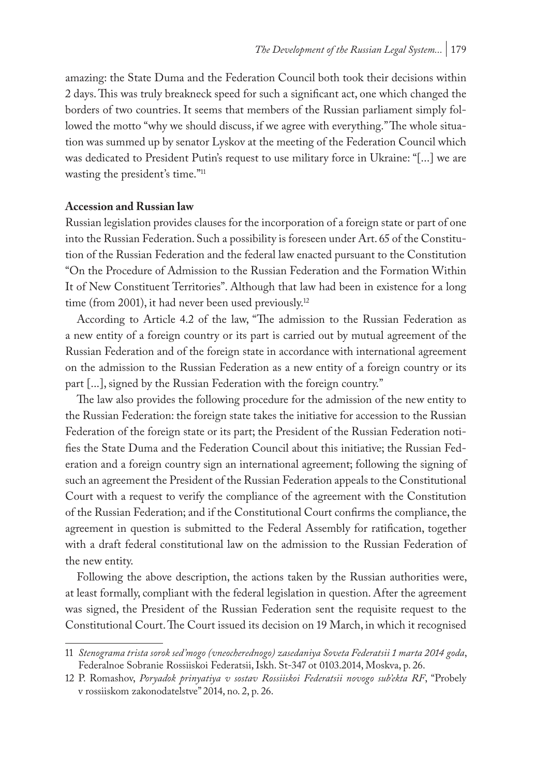amazing: the State Duma and the Federation Council both took their decisions within 2 days. This was truly breakneck speed for such a significant act, one which changed the borders of two countries. It seems that members of the Russian parliament simply followed the motto "why we should discuss, if we agree with everything." The whole situation was summed up by senator Lyskov at the meeting of the Federation Council which was dedicated to President Putin's request to use military force in Ukraine: "[...] we are wasting the president's time."11

#### **Accession and Russian law**

Russian legislation provides clauses for the incorporation of a foreign state or part of one into the Russian Federation. Such a possibility is foreseen under Art. 65 of the Constitution of the Russian Federation and the federal law enacted pursuant to the Constitution "On the Procedure of Admission to the Russian Federation and the Formation Within It of New Constituent Territories". Although that law had been in existence for a long time (from 2001), it had never been used previously.<sup>12</sup>

According to Article 4.2 of the law, "The admission to the Russian Federation as a new entity of a foreign country or its part is carried out by mutual agreement of the Russian Federation and of the foreign state in accordance with international agreement on the admission to the Russian Federation as a new entity of a foreign country or its part [...], signed by the Russian Federation with the foreign country."

The law also provides the following procedure for the admission of the new entity to the Russian Federation: the foreign state takes the initiative for accession to the Russian Federation of the foreign state or its part; the President of the Russian Federation notifies the State Duma and the Federation Council about this initiative; the Russian Federation and a foreign country sign an international agreement; following the signing of such an agreement the President of the Russian Federation appeals to the Constitutional Court with a request to verify the compliance of the agreement with the Constitution of the Russian Federation; and if the Constitutional Court confirms the compliance, the agreement in question is submitted to the Federal Assembly for ratification, together with a draft federal constitutional law on the admission to the Russian Federation of the new entity.

Following the above description, the actions taken by the Russian authorities were, at least formally, compliant with the federal legislation in question. After the agreement was signed, the President of the Russian Federation sent the requisite request to the Constitutional Court. The Court issued its decision on 19 March, in which it recognised

<sup>11</sup> *Stenograma trista sorok sed'mogo (vneocherednogo) zasedaniya Soveta Federatsii 1 marta 2014 goda*, Federalnoe Sobranie Rossiiskoi Federatsii, Iskh. St-347 ot 0103.2014, Moskva, p. 26.

<sup>12</sup> P. Romashov, *Poryadok prinyatiya v sostav Rossiiskoi Federatsii novogo sub'ekta RF*, "Probely v rossiiskom zakonodatelstve" 2014, no. 2, p. 26.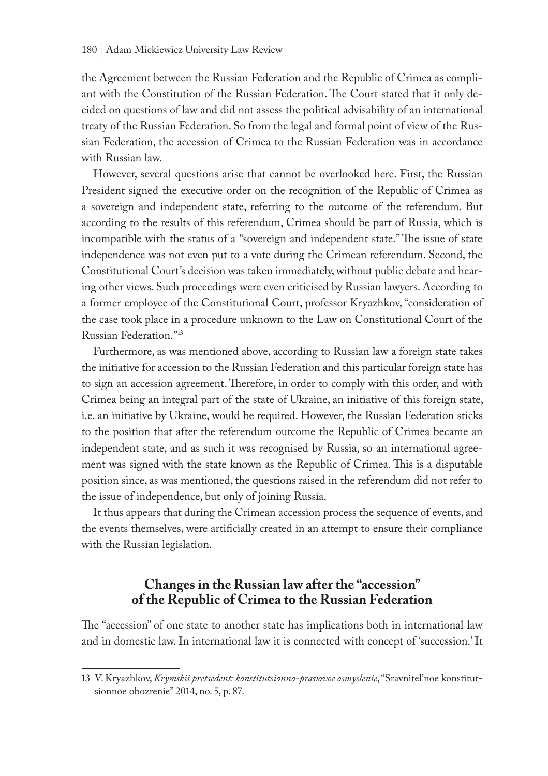the Agreement between the Russian Federation and the Republic of Crimea as compliant with the Constitution of the Russian Federation. The Court stated that it only decided on questions of law and did not assess the political advisability of an international treaty of the Russian Federation. So from the legal and formal point of view of the Russian Federation, the accession of Crimea to the Russian Federation was in accordance with Russian law.

However, several questions arise that cannot be overlooked here. First, the Russian President signed the executive order on the recognition of the Republic of Crimea as a sovereign and independent state, referring to the outcome of the referendum. But according to the results of this referendum, Crimea should be part of Russia, which is incompatible with the status of a "sovereign and independent state." The issue of state independence was not even put to a vote during the Crimean referendum. Second, the Constitutional Court's decision was taken immediately, without public debate and hearing other views. Such proceedings were even criticised by Russian lawyers. According to a former employee of the Constitutional Court, professor Kryazhkov, "consideration of the case took place in a procedure unknown to the Law on Constitutional Court of the Russian Federation."13

Furthermore, as was mentioned above, according to Russian law a foreign state takes the initiative for accession to the Russian Federation and this particular foreign state has to sign an accession agreement. Therefore, in order to comply with this order, and with Crimea being an integral part of the state of Ukraine, an initiative of this foreign state, i.e. an initiative by Ukraine, would be required. However, the Russian Federation sticks to the position that after the referendum outcome the Republic of Crimea became an independent state, and as such it was recognised by Russia, so an international agreement was signed with the state known as the Republic of Crimea. This is a disputable position since, as was mentioned, the questions raised in the referendum did not refer to the issue of independence, but only of joining Russia.

It thus appears that during the Crimean accession process the sequence of events, and the events themselves, were artificially created in an attempt to ensure their compliance with the Russian legislation.

# **Changes in the Russian law after the "accession" of the Republic of Crimea to the Russian Federation**

The "accession" of one state to another state has implications both in international law and in domestic law. In international law it is connected with concept of 'succession.' It

<sup>13</sup> V. Kryazhkov, *Krymskii pretsedent: konstitutsionno-pravovoe osmyslenie*, "Sravnitel'noe konstitutsionnoe obozrenie" 2014, no. 5, p. 87.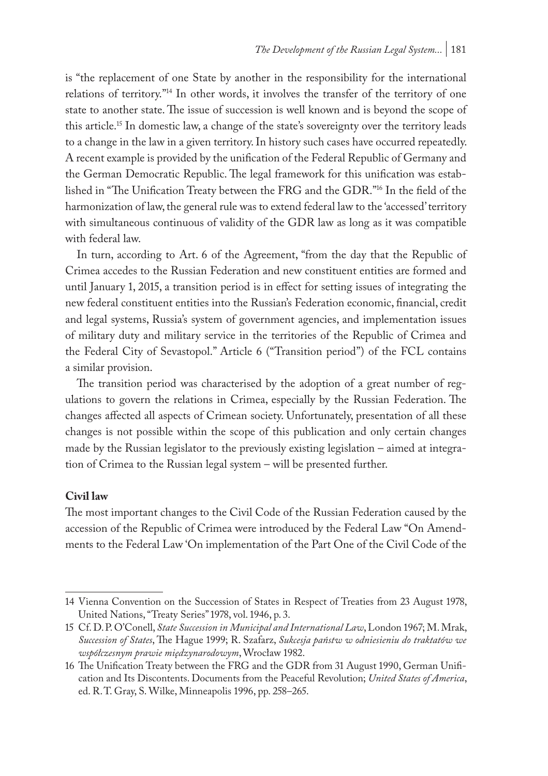is "the replacement of one State by another in the responsibility for the international relations of territory."14 In other words, it involves the transfer of the territory of one state to another state. The issue of succession is well known and is beyond the scope of this article.15 In domestic law, a change of the state's sovereignty over the territory leads to a change in the law in a given territory. In history such cases have occurred repeatedly. A recent example is provided by the unification of the Federal Republic of Germany and the German Democratic Republic. The legal framework for this unification was established in "The Unification Treaty between the FRG and the GDR."16 In the field of the harmonization of law, the general rule was to extend federal law to the 'accessed' territory with simultaneous continuous of validity of the GDR law as long as it was compatible with federal law.

In turn, according to Art. 6 of the Agreement, "from the day that the Republic of Crimea accedes to the Russian Federation and new constituent entities are formed and until January 1, 2015, a transition period is in effect for setting issues of integrating the new federal constituent entities into the Russian's Federation economic, financial, credit and legal systems, Russia's system of government agencies, and implementation issues of military duty and military service in the territories of the Republic of Crimea and the Federal City of Sevastopol." Article 6 ("Transition period") of the FCL contains a similar provision.

The transition period was characterised by the adoption of a great number of regulations to govern the relations in Crimea, especially by the Russian Federation. The changes affected all aspects of Crimean society. Unfortunately, presentation of all these changes is not possible within the scope of this publication and only certain changes made by the Russian legislator to the previously existing legislation – aimed at integration of Crimea to the Russian legal system – will be presented further.

#### **Civil law**

The most important changes to the Civil Code of the Russian Federation caused by the accession of the Republic of Crimea were introduced by the Federal Law "On Amendments to the Federal Law 'On implementation of the Part One of the Civil Code of the

<sup>14</sup> Vienna Convention on the Succession of States in Respect of Treaties from 23 August 1978, United Nations, "Treaty Series" 1978, vol. 1946, p. 3.

<sup>15</sup> Cf. D.P. O'Conell, *State Succession in Municipal and International Law*, London 1967; M. Mrak, *Succession of States*, The Hague 1999; R. Szafarz, *Sukcesja państw w odniesieniu do traktatów we współczesnym prawie międzynarodowym*, Wrocław 1982.

<sup>16</sup> The Unification Treaty between the FRG and the GDR from 31 August 1990, German Unification and Its Discontents. Documents from the Peaceful Revolution; *United States of America*, ed. R.T. Gray, S. Wilke, Minneapolis 1996, pp. 258–265.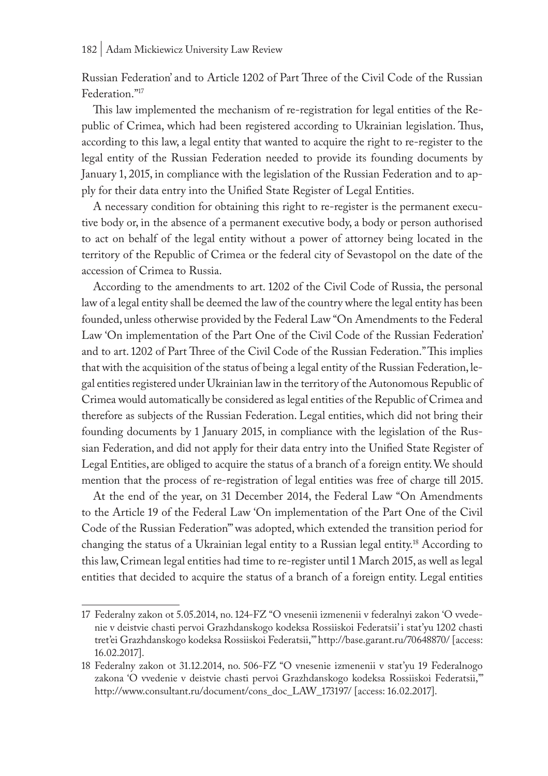Russian Federation' and to Article 1202 of Part Three of the Civil Code of the Russian Federation."17

This law implemented the mechanism of re-registration for legal entities of the Republic of Crimea, which had been registered according to Ukrainian legislation. Thus, according to this law, a legal entity that wanted to acquire the right to re-register to the legal entity of the Russian Federation needed to provide its founding documents by January 1, 2015, in compliance with the legislation of the Russian Federation and to apply for their data entry into the Unified State Register of Legal Entities.

A necessary condition for obtaining this right to re-register is the permanent executive body or, in the absence of a permanent executive body, a body or person authorised to act on behalf of the legal entity without a power of attorney being located in the territory of the Republic of Crimea or the federal city of Sevastopol on the date of the accession of Crimea to Russia.

According to the amendments to art. 1202 of the Civil Code of Russia, the personal law of a legal entity shall be deemed the law of the country where the legal entity has been founded, unless otherwise provided by the Federal Law "On Amendments to the Federal Law 'On implementation of the Part One of the Civil Code of the Russian Federation' and to art. 1202 of Part Three of the Civil Code of the Russian Federation." This implies that with the acquisition of the status of being a legal entity of the Russian Federation, legal entities registered under Ukrainian law in the territory of the Autonomous Republic of Crimea would automatically be considered as legal entities of the Republic of Crimea and therefore as subjects of the Russian Federation. Legal entities, which did not bring their founding documents by 1 January 2015, in compliance with the legislation of the Russian Federation, and did not apply for their data entry into the Unified State Register of Legal Entities, are obliged to acquire the status of a branch of a foreign entity. We should mention that the process of re-registration of legal entities was free of charge till 2015.

At the end of the year, on 31 December 2014, the Federal Law "On Amendments to the Article 19 of the Federal Law 'On implementation of the Part One of the Civil Code of the Russian Federation'" was adopted, which extended the transition period for changing the status of a Ukrainian legal entity to a Russian legal entity.18 According to this law, Crimean legal entities had time to re-register until 1 March 2015, as well as legal entities that decided to acquire the status of a branch of a foreign entity. Legal entities

<sup>17</sup> Federalny zakon ot 5.05.2014, no. 124-FZ "O vnesenii izmenenii v federalnyi zakon 'O vvedenie v deistvie chasti pervoi Grazhdanskogo kodeksa Rossiiskoi Federatsii' i stat'yu 1202 chasti tret'ei Grazhdanskogo kodeksa Rossiiskoi Federatsii,'" http://base.garant.ru/70648870/ [access: 16.02.2017].

<sup>18</sup> Federalny zakon ot 31.12.2014, no. 506-FZ "O vnesenie izmenenii v stat'yu 19 Federalnogo zakona 'O vvedenie v deistvie chasti pervoi Grazhdanskogo kodeksa Rossiiskoi Federatsii,'" http://www.consultant.ru/document/cons\_doc\_LAW\_173197/ [access: 16.02.2017].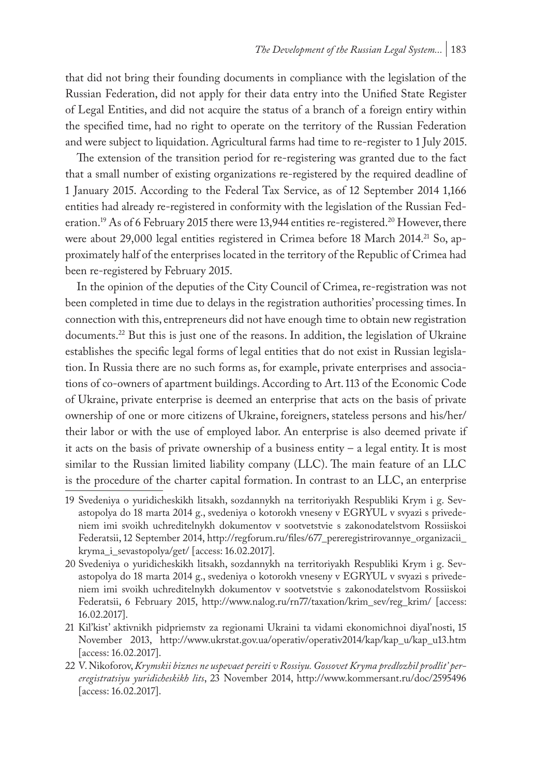that did not bring their founding documents in compliance with the legislation of the Russian Federation, did not apply for their data entry into the Unified State Register of Legal Entities, and did not acquire the status of a branch of a foreign entiry within the specified time, had no right to operate on the territory of the Russian Federation and were subject to liquidation. Agricultural farms had time to re-register to 1 July 2015.

The extension of the transition period for re-registering was granted due to the fact that a small number of existing organizations re-registered by the required deadline of 1 January 2015. According to the Federal Tax Service, as of 12 September 2014 1,166 entities had already re-registered in conformity with the legislation of the Russian Federation.<sup>19</sup> As of 6 February 2015 there were 13,944 entities re-registered.<sup>20</sup> However, there were about 29,000 legal entities registered in Crimea before 18 March 2014.<sup>21</sup> So, approximately half of the enterprises located in the territory of the Republic of Crimea had been re-registered by February 2015.

In the opinion of the deputies of the City Council of Crimea, re-registration was not been completed in time due to delays in the registration authorities' processing times. In connection with this, entrepreneurs did not have enough time to obtain new registration documents.22 But this is just one of the reasons. In addition, the legislation of Ukraine establishes the specific legal forms of legal entities that do not exist in Russian legislation. In Russia there are no such forms as, for example, private enterprises and associations of co-owners of apartment buildings. According to Art. 113 of the Economic Code of Ukraine, private enterprise is deemed an enterprise that acts on the basis of private ownership of one or more citizens of Ukraine, foreigners, stateless persons and his/her/ their labor or with the use of employed labor. An enterprise is also deemed private if it acts on the basis of private ownership of a business entity – a legal entity. It is most similar to the Russian limited liability company (LLC). The main feature of an LLC is the procedure of the charter capital formation. In contrast to an LLC, an enterprise

<sup>19</sup> Svedeniya o yuridicheskikh litsakh, sozdannykh na territoriyakh Respubliki Krym i g. Sevastopolya do 18 marta 2014 g., svedeniya o kotorokh vneseny v EGRYUL v svyazi s privedeniem imi svoikh uchreditelnykh dokumentov v sootvetstvie s zakonodatelstvom Rossiiskoi Federatsii, 12 September 2014, http://regforum.ru/files/677\_pereregistrirovannye\_organizacii\_ kryma\_i\_sevastopolya/get/ [access: 16.02.2017].

<sup>20</sup> Svedeniya o yuridicheskikh litsakh, sozdannykh na territoriyakh Respubliki Krym i g. Sevastopolya do 18 marta 2014 g., svedeniya o kotorokh vneseny v EGRYUL v svyazi s privedeniem imi svoikh uchreditelnykh dokumentov v sootvetstvie s zakonodatelstvom Rossiiskoi Federatsii, 6 February 2015, http://www.nalog.ru/rn77/taxation/krim\_sev/reg\_krim/ [access: 16.02.2017].

<sup>21</sup> Kil'kist' aktivnikh pidpriemstv za regionami Ukraini ta vidami ekonomichnoi diyal'nosti, 15 November 2013, http://www.ukrstat.gov.ua/operativ/operativ2014/kap/kap\_u/kap\_u13.htm [access: 16.02.2017].

<sup>22</sup> V. Nikoforov, *Krymskii biznes ne uspevaet pereiti v Rossiyu. Gossovet Kryma predlozhil prodlit' pereregistratsiyu yuridicheskikh lits*, 23 November 2014, http://www.kommersant.ru/doc/2595496 [access: 16.02.2017].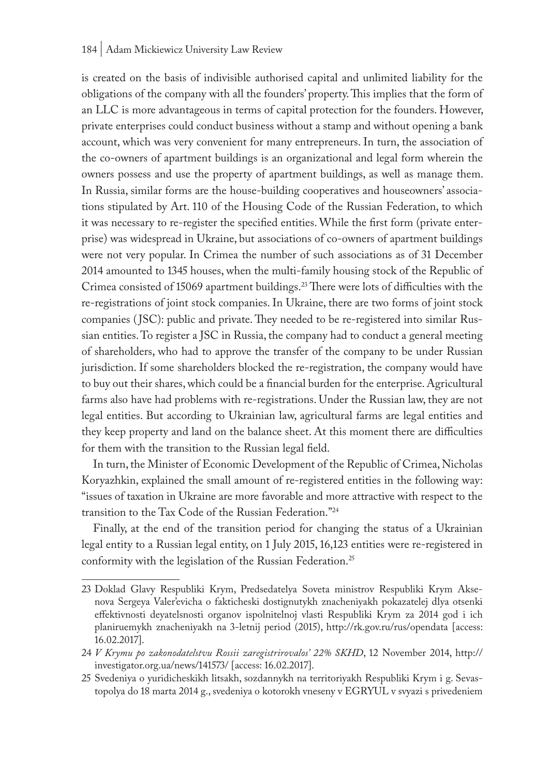#### 184 | Adam Mickiewicz University Law Review

is created on the basis of indivisible authorised capital and unlimited liability for the obligations of the company with all the founders' property. This implies that the form of an LLC is more advantageous in terms of capital protection for the founders. However, private enterprises could conduct business without a stamp and without opening a bank account, which was very convenient for many entrepreneurs. In turn, the association of the co-owners of apartment buildings is an organizational and legal form wherein the owners possess and use the property of apartment buildings, as well as manage them. In Russia, similar forms are the house-building cooperatives and houseowners' associations stipulated by Art. 110 of the Housing Code of the Russian Federation, to which it was necessary to re-register the specified entities. While the first form (private enterprise) was widespread in Ukraine, but associations of co-owners of apartment buildings were not very popular. In Crimea the number of such associations as of 31 December 2014 amounted to 1345 houses, when the multi-family housing stock of the Republic of Crimea consisted of 15069 apartment buildings.23 There were lots of difficulties with the re-registrations of joint stock companies. In Ukraine, there are two forms of joint stock companies ( JSC): public and private. They needed to be re-registered into similar Russian entities. To register a JSC in Russia, the company had to conduct a general meeting of shareholders, who had to approve the transfer of the company to be under Russian jurisdiction. If some shareholders blocked the re-registration, the company would have to buy out their shares, which could be a financial burden for the enterprise. Agricultural farms also have had problems with re-registrations. Under the Russian law, they are not legal entities. But according to Ukrainian law, agricultural farms are legal entities and they keep property and land on the balance sheet. At this moment there are difficulties for them with the transition to the Russian legal field.

In turn, the Minister of Economic Development of the Republic of Crimea, Nicholas Koryazhkin, explained the small amount of re-registered entities in the following way: "issues of taxation in Ukraine are more favorable and more attractive with respect to the transition to the Tax Code of the Russian Federation."24

Finally, at the end of the transition period for changing the status of a Ukrainian legal entity to a Russian legal entity, on 1 July 2015, 16,123 entities were re-registered in conformity with the legislation of the Russian Federation.<sup>25</sup>

<sup>23</sup> Doklad Glavy Respubliki Krym, Predsedatelya Soveta ministrov Respubliki Krym Aksenova Sergeya Valer'evicha o fakticheski dostignutykh znacheniyakh pokazatelej dlya otsenki effektivnosti deyatelsnosti organov ispolnitelnoj vlasti Respubliki Krym za 2014 god i ich planiruemykh znacheniyakh na 3-letnij period (2015), http://rk.gov.ru/rus/opendata [access: 16.02.2017].

<sup>24</sup> *V Krymu po zakonodatelstvu Rossii zaregistrirovalos' 22% SKHD*, 12 November 2014, http:// investigator.org.ua/news/141573/ [access: 16.02.2017].

<sup>25</sup> Svedeniya o yuridicheskikh litsakh, sozdannykh na territoriyakh Respubliki Krym i g. Sevastopolya do 18 marta 2014 g., svedeniya o kotorokh vneseny v EGRYUL v svyazi s privedeniem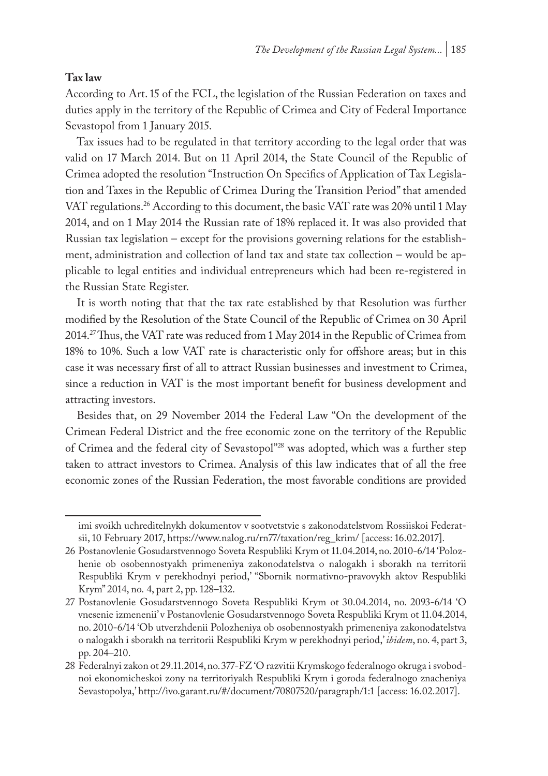#### **Tax law**

According to Art. 15 of the FCL, the legislation of the Russian Federation on taxes and duties apply in the territory of the Republic of Crimea and City of Federal Importance Sevastopol from 1 January 2015.

Tax issues had to be regulated in that territory according to the legal order that was valid on 17 March 2014. But on 11 April 2014, the State Council of the Republic of Crimea adopted the resolution "Instruction On Specifics of Application of Tax Legislation and Taxes in the Republic of Crimea During the Transition Period" that amended VAT regulations.26 According to this document, the basic VAT rate was 20% until 1 May 2014, and on 1 May 2014 the Russian rate of 18% replaced it. It was also provided that Russian tax legislation – except for the provisions governing relations for the establishment, administration and collection of land tax and state tax collection – would be applicable to legal entities and individual entrepreneurs which had been re-registered in the Russian State Register.

It is worth noting that that the tax rate established by that Resolution was further modified by the Resolution of the State Council of the Republic of Crimea on 30 April 2014.27 Thus, the VAT rate was reduced from 1 May 2014 in the Republic of Crimea from 18% to 10%. Such a low VAT rate is characteristic only for offshore areas; but in this case it was necessary first of all to attract Russian businesses and investment to Crimea, since a reduction in VAT is the most important benefit for business development and attracting investors.

Besides that, on 29 November 2014 the Federal Law "On the development of the Crimean Federal District and the free economic zone on the territory of the Republic of Crimea and the federal city of Sevastopol"28 was adopted, which was a further step taken to attract investors to Crimea. Analysis of this law indicates that of all the free economic zones of the Russian Federation, the most favorable conditions are provided

imi svoikh uchreditelnykh dokumentov v sootvetstvie s zakonodatelstvom Rossiiskoi Federatsii, 10 February 2017, https://www.nalog.ru/rn77/taxation/reg\_krim/ [access: 16.02.2017].

<sup>26</sup> Postanovlenie Gosudarstvennogo Soveta Respubliki Krym ot 11.04.2014, no. 2010-6/14 'Polozhenie ob osobennostyakh primeneniya zakonodatelstva o nalogakh i sborakh na territorii Respubliki Krym v perekhodnyi period,' "Sbornik normativno-pravovykh aktov Respubliki Krym" 2014, no. 4, part 2, pp. 128–132.

<sup>27</sup> Postanovlenie Gosudarstvennogo Soveta Respubliki Krym ot 30.04.2014, no. 2093-6/14 'O vnesenie izmenenii' v Postanovlenie Gosudarstvennogo Soveta Respubliki Krym ot 11.04.2014, no. 2010-6/14 'Ob utverzhdenii Polozheniya ob osobennostyakh primeneniya zakonodatelstva o nalogakh i sborakh na territorii Respubliki Krym w perekhodnyi period,' *ibidem*, no. 4, part 3, pp. 204–210.

<sup>28</sup> Federalnyi zakon ot 29.11.2014, no. 377-FZ 'O razvitii Krymskogo federalnogo okruga i svobodnoi ekonomicheskoi zony na territoriyakh Respubliki Krym i goroda federalnogo znacheniya Sevastopolya,' http://ivo.garant.ru/#/document/70807520/paragraph/1:1 [access: 16.02.2017].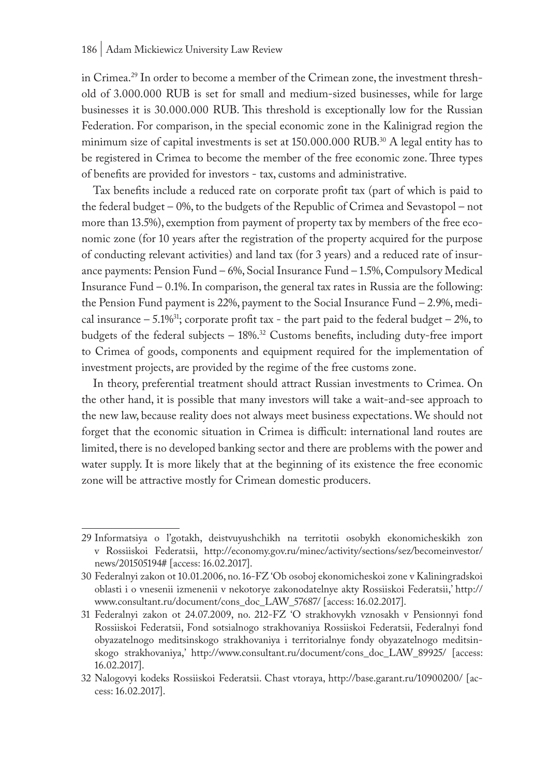in Crimea.29 In order to become a member of the Crimean zone, the investment threshold of 3.000.000 RUB is set for small and medium-sized businesses, while for large businesses it is 30.000.000 RUB. This threshold is exceptionally low for the Russian Federation. For comparison, in the special economic zone in the Kalinigrad region the minimum size of capital investments is set at 150.000.000 RUB.<sup>30</sup> A legal entity has to be registered in Crimea to become the member of the free economic zone. Three types of benefits are provided for investors - tax, customs and administrative.

Tax benefits include a reduced rate on corporate profit tax (part of which is paid to the federal budget – 0%, to the budgets of the Republic of Crimea and Sevastopol – not more than 13.5%), exemption from payment of property tax by members of the free economic zone (for 10 years after the registration of the property acquired for the purpose of conducting relevant activities) and land tax (for 3 years) and a reduced rate of insurance payments: Pension Fund – 6%, Social Insurance Fund – 1.5%, Compulsory Medical Insurance Fund  $-0.1\%$ . In comparison, the general tax rates in Russia are the following: the Pension Fund payment is 22%, payment to the Social Insurance Fund – 2.9%, medical insurance  $-5.1\%$ <sup>31</sup>; corporate profit tax - the part paid to the federal budget – 2%, to budgets of the federal subjects – 18%.32 Customs benefits, including duty-free import to Crimea of goods, components and equipment required for the implementation of investment projects, are provided by the regime of the free customs zone.

In theory, preferential treatment should attract Russian investments to Crimea. On the other hand, it is possible that many investors will take a wait-and-see approach to the new law, because reality does not always meet business expectations. We should not forget that the economic situation in Crimea is difficult: international land routes are limited, there is no developed banking sector and there are problems with the power and water supply. It is more likely that at the beginning of its existence the free economic zone will be attractive mostly for Crimean domestic producers.

<sup>29</sup> Informatsiya o l'gotakh, deistvuyushchikh na territotii osobykh ekonomicheskikh zon v Rossiiskoi Federatsii, http://economy.gov.ru/minec/activity/sections/sez/becomeinvestor/ news/201505194# [access: 16.02.2017].

<sup>30</sup> Federalnyi zakon ot 10.01.2006, no. 16-FZ 'Ob osoboj ekonomicheskoi zone v Kaliningradskoi oblasti i o vnesenii izmenenii v nekotorye zakonodatelnye akty Rossiiskoi Federatsii,' http:// www.consultant.ru/document/cons\_doc\_LAW\_57687/ [access: 16.02.2017].

<sup>31</sup> Federalnyi zakon ot 24.07.2009, no. 212-FZ 'O strakhovykh vznosakh v Pensionnyi fond Rossiiskoi Federatsii, Fond sotsialnogo strakhovaniya Rossiiskoi Federatsii, Federalnyi fond obyazatelnogo meditsinskogo strakhovaniya i territorialnye fondy obyazatelnogo meditsinskogo strakhovaniya,' http://www.consultant.ru/document/cons\_doc\_LAW\_89925/ [access: 16.02.2017].

<sup>32</sup> Nalogovyi kodeks Rossiiskoi Federatsii. Chast vtoraya, http://base.garant.ru/10900200/ [access: 16.02.2017].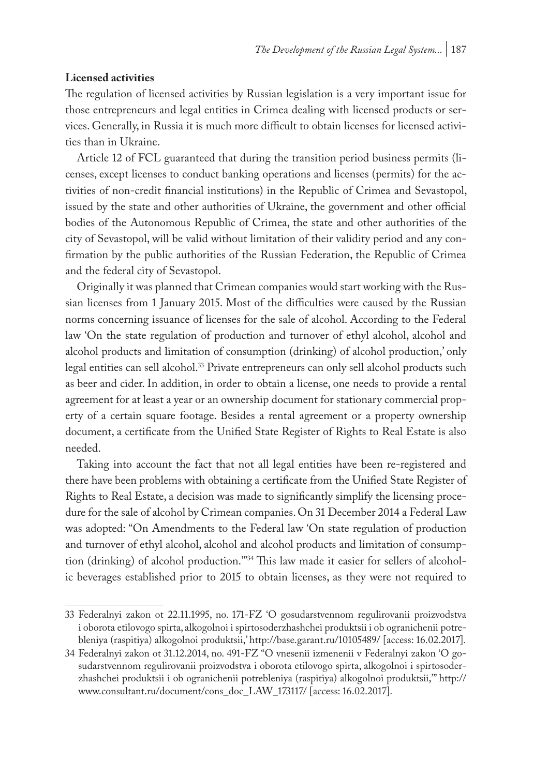#### **Licensed activities**

The regulation of licensed activities by Russian legislation is a very important issue for those entrepreneurs and legal entities in Crimea dealing with licensed products or services. Generally, in Russia it is much more difficult to obtain licenses for licensed activities than in Ukraine.

Article 12 of FCL guaranteed that during the transition period business permits (licenses, except licenses to conduct banking operations and licenses (permits) for the activities of non-credit financial institutions) in the Republic of Crimea and Sevastopol, issued by the state and other authorities of Ukraine, the government and other official bodies of the Autonomous Republic of Crimea, the state and other authorities of the city of Sevastopol, will be valid without limitation of their validity period and any confirmation by the public authorities of the Russian Federation, the Republic of Crimea and the federal city of Sevastopol.

Originally it was planned that Crimean companies would start working with the Russian licenses from 1 January 2015. Most of the difficulties were caused by the Russian norms concerning issuance of licenses for the sale of alcohol. According to the Federal law 'On the state regulation of production and turnover of ethyl alcohol, alcohol and alcohol products and limitation of consumption (drinking) of alcohol production,' only legal entities can sell alcohol.<sup>33</sup> Private entrepreneurs can only sell alcohol products such as beer and cider. In addition, in order to obtain a license, one needs to provide a rental agreement for at least a year or an ownership document for stationary commercial property of a certain square footage. Besides a rental agreement or a property ownership document, a certificate from the Unified State Register of Rights to Real Estate is also needed.

Taking into account the fact that not all legal entities have been re-registered and there have been problems with obtaining a certificate from the Unified State Register of Rights to Real Estate, a decision was made to significantly simplify the licensing procedure for the sale of alcohol by Crimean companies. On 31 December 2014 a Federal Law was adopted: "On Amendments to the Federal law 'On state regulation of production and turnover of ethyl alcohol, alcohol and alcohol products and limitation of consumption (drinking) of alcohol production.'"34 This law made it easier for sellers of alcoholic beverages established prior to 2015 to obtain licenses, as they were not required to

<sup>33</sup> Federalnyi zakon ot 22.11.1995, no. 171-FZ 'O gosudarstvennom regulirovanii proizvodstva i oborota etilovogo spirta, alkogolnoi i spirtosoderzhashchei produktsii i ob ogranichenii potrebleniya (raspitiya) alkogolnoi produktsii,' http://base.garant.ru/10105489/ [access: 16.02.2017].

<sup>34</sup> Federalnyi zakon ot 31.12.2014, no. 491-FZ "O vnesenii izmenenii v Federalnyi zakon 'O gosudarstvennom regulirovanii proizvodstva i oborota etilovogo spirta, alkogolnoi i spirtosoderzhashchei produktsii i ob ogranichenii potrebleniya (raspitiya) alkogolnoi produktsii,'" http:// www.consultant.ru/document/cons\_doc\_LAW\_173117/ [access: 16.02.2017].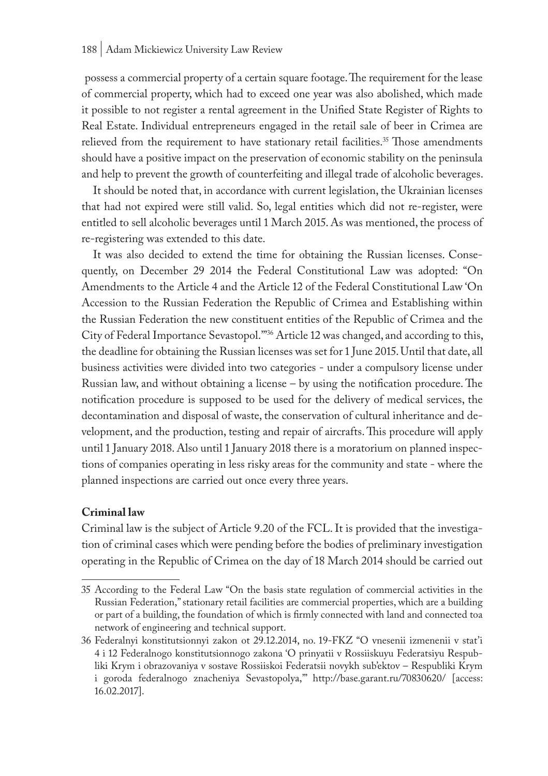possess a commercial property of a certain square footage. The requirement for the lease of commercial property, which had to exceed one year was also abolished, which made it possible to not register a rental agreement in the Unified State Register of Rights to Real Estate. Individual entrepreneurs engaged in the retail sale of beer in Crimea are relieved from the requirement to have stationary retail facilities.<sup>35</sup> Those amendments should have a positive impact on the preservation of economic stability on the peninsula and help to prevent the growth of counterfeiting and illegal trade of alcoholic beverages.

It should be noted that, in accordance with current legislation, the Ukrainian licenses that had not expired were still valid. So, legal entities which did not re-register, were entitled to sell alcoholic beverages until 1 March 2015. As was mentioned, the process of re-registering was extended to this date.

It was also decided to extend the time for obtaining the Russian licenses. Consequently, on December 29 2014 the Federal Constitutional Law was adopted: "On Amendments to the Article 4 and the Article 12 of the Federal Constitutional Law 'On Accession to the Russian Federation the Republic of Crimea and Establishing within the Russian Federation the new constituent entities of the Republic of Crimea and the City of Federal Importance Sevastopol.'"36 Article 12 was changed, and according to this, the deadline for obtaining the Russian licenses was set for 1 June 2015. Until that date, all business activities were divided into two categories - under a compulsory license under Russian law, and without obtaining a license – by using the notification procedure. The notification procedure is supposed to be used for the delivery of medical services, the decontamination and disposal of waste, the conservation of cultural inheritance and development, and the production, testing and repair of aircrafts. This procedure will apply until 1 January 2018. Also until 1 January 2018 there is a moratorium on planned inspections of companies operating in less risky areas for the community and state - where the planned inspections are carried out once every three years.

#### **Criminal law**

Criminal law is the subject of Article 9.20 of the FCL. It is provided that the investigation of criminal cases which were pending before the bodies of preliminary investigation operating in the Republic of Crimea on the day of 18 March 2014 should be carried out

<sup>35</sup> According to the Federal Law "On the basis state regulation of commercial activities in the Russian Federation," stationary retail facilities are commercial properties, which are a building or part of a building, the foundation of which is firmly connected with land and connected toa network of engineering and technical support.

<sup>36</sup> Federalnyi konstitutsionnyi zakon ot 29.12.2014, no. 19-FKZ "O vnesenii izmenenii v stat'i 4 i 12 Federalnogo konstitutsionnogo zakona 'O prinyatii v Rossiiskuyu Federatsiyu Respubliki Krym i obrazovaniya v sostave Rossiiskoi Federatsii novykh sub'ektov – Respubliki Krym i goroda federalnogo znacheniya Sevastopolya,'" http://base.garant.ru/70830620/ [access: 16.02.2017].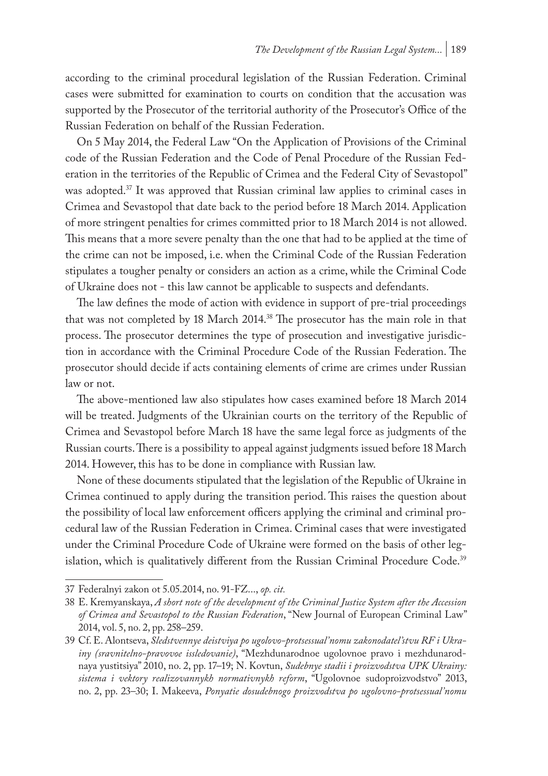according to the criminal procedural legislation of the Russian Federation. Criminal cases were submitted for examination to courts on condition that the accusation was supported by the Prosecutor of the territorial authority of the Prosecutor's Office of the Russian Federation on behalf of the Russian Federation.

On 5 May 2014, the Federal Law "On the Application of Provisions of the Criminal code of the Russian Federation and the Code of Penal Procedure of the Russian Federation in the territories of the Republic of Crimea and the Federal City of Sevastopol" was adopted.37 It was approved that Russian criminal law applies to criminal cases in Crimea and Sevastopol that date back to the period before 18 March 2014. Application of more stringent penalties for crimes committed prior to 18 March 2014 is not allowed. This means that a more severe penalty than the one that had to be applied at the time of the crime can not be imposed, i.e. when the Criminal Code of the Russian Federation stipulates a tougher penalty or considers an action as a crime, while the Criminal Code of Ukraine does not - this law cannot be applicable to suspects and defendants.

The law defines the mode of action with evidence in support of pre-trial proceedings that was not completed by 18 March 2014.38 The prosecutor has the main role in that process. The prosecutor determines the type of prosecution and investigative jurisdiction in accordance with the Criminal Procedure Code of the Russian Federation. The prosecutor should decide if acts containing elements of crime are crimes under Russian law or not.

The above-mentioned law also stipulates how cases examined before 18 March 2014 will be treated. Judgments of the Ukrainian courts on the territory of the Republic of Crimea and Sevastopol before March 18 have the same legal force as judgments of the Russian courts. There is a possibility to appeal against judgments issued before 18 March 2014. However, this has to be done in compliance with Russian law.

None of these documents stipulated that the legislation of the Republic of Ukraine in Crimea continued to apply during the transition period. This raises the question about the possibility of local law enforcement officers applying the criminal and criminal procedural law of the Russian Federation in Crimea. Criminal cases that were investigated under the Criminal Procedure Code of Ukraine were formed on the basis of other legislation, which is qualitatively different from the Russian Criminal Procedure Code.<sup>39</sup>

<sup>37</sup> Federalnyi zakon ot 5.05.2014, no. 91-FZ..., *op. cit.*

<sup>38</sup> E. Kremyanskaya, *A short note of the development of the Criminal Justice System after the Accession of Crimea and Sevastopol to the Russian Federation*, "New Journal of European Criminal Law" 2014, vol. 5, no. 2, pp. 258–259.

<sup>39</sup> Cf. E. Alontseva, *Sledstvennye deistviya po ugolovo-protsessual'nomu zakonodatel'stvu RF i Ukrainy (sravnitelno-pravovoe issledovanie)*, "Mezhdunarodnoe ugolovnoe pravo i mezhdunarodnaya yustitsiya" 2010, no. 2, pp. 17–19; N. Kovtun, *Sudebnye stadii i proizvodstva UPK Ukrainy: sistema i vektory realizovannykh normativnykh reform*, "Ugolovnoe sudoproizvodstvo" 2013, no. 2, pp. 23–30; I. Makeeva, *Ponyatie dosudebnogo proizvodstva po ugolovno-protsessual'nomu*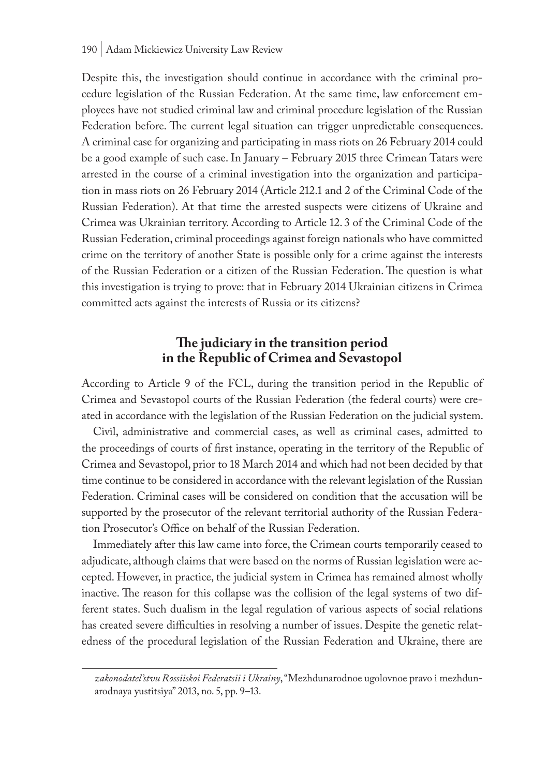Despite this, the investigation should continue in accordance with the criminal procedure legislation of the Russian Federation. At the same time, law enforcement employees have not studied criminal law and criminal procedure legislation of the Russian Federation before. The current legal situation can trigger unpredictable consequences. A criminal case for organizing and participating in mass riots on 26 February 2014 could be a good example of such case. In January – February 2015 three Crimean Tatars were arrested in the course of a criminal investigation into the organization and participation in mass riots on 26 February 2014 (Article 212.1 and 2 of the Criminal Code of the Russian Federation). At that time the arrested suspects were citizens of Ukraine and Crimea was Ukrainian territory. According to Article 12. 3 of the Criminal Code of the Russian Federation, criminal proceedings against foreign nationals who have committed crime on the territory of another State is possible only for a crime against the interests of the Russian Federation or a citizen of the Russian Federation. The question is what this investigation is trying to prove: that in February 2014 Ukrainian citizens in Crimea committed acts against the interests of Russia or its citizens?

# **The judiciary in the transition period in the Republic of Crimea and Sevastopol**

According to Article 9 of the FCL, during the transition period in the Republic of Crimea and Sevastopol courts of the Russian Federation (the federal courts) were created in accordance with the legislation of the Russian Federation on the judicial system.

Civil, administrative and commercial cases, as well as criminal cases, admitted to the proceedings of courts of first instance, operating in the territory of the Republic of Crimea and Sevastopol, prior to 18 March 2014 and which had not been decided by that time continue to be considered in accordance with the relevant legislation of the Russian Federation. Criminal cases will be considered on condition that the accusation will be supported by the prosecutor of the relevant territorial authority of the Russian Federation Prosecutor's Office on behalf of the Russian Federation.

Immediately after this law came into force, the Crimean courts temporarily ceased to adjudicate, although claims that were based on the norms of Russian legislation were accepted. However, in practice, the judicial system in Crimea has remained almost wholly inactive. The reason for this collapse was the collision of the legal systems of two different states. Such dualism in the legal regulation of various aspects of social relations has created severe difficulties in resolving a number of issues. Despite the genetic relatedness of the procedural legislation of the Russian Federation and Ukraine, there are

*zakonodatel'stvu Rossiiskoi Federatsii i Ukrainy*, "Mezhdunarodnoe ugolovnoe pravo i mezhdunarodnaya yustitsiya" 2013, no. 5, pp. 9–13.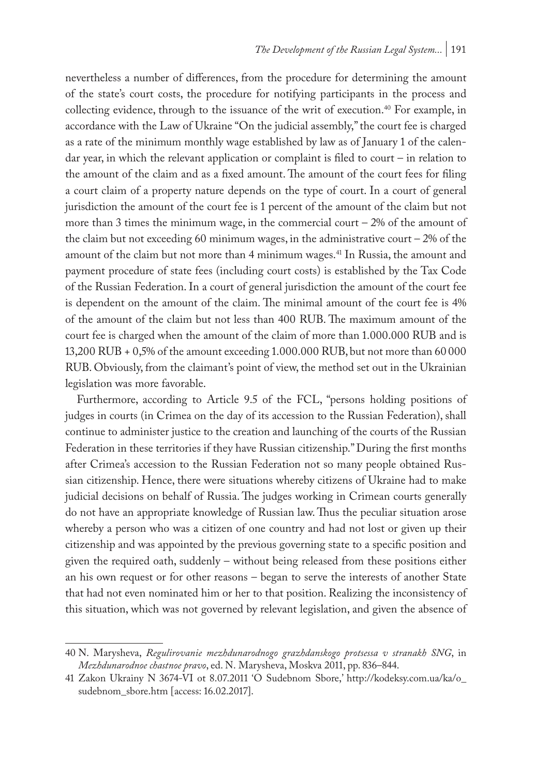nevertheless a number of differences, from the procedure for determining the amount of the state's court costs, the procedure for notifying participants in the process and collecting evidence, through to the issuance of the writ of execution.<sup>40</sup> For example, in accordance with the Law of Ukraine "On the judicial assembly," the court fee is charged as a rate of the minimum monthly wage established by law as of January 1 of the calendar year, in which the relevant application or complaint is filed to court – in relation to the amount of the claim and as a fixed amount. The amount of the court fees for filing a court claim of a property nature depends on the type of court. In a court of general jurisdiction the amount of the court fee is 1 percent of the amount of the claim but not more than 3 times the minimum wage, in the commercial court  $-2\%$  of the amount of the claim but not exceeding 60 minimum wages, in the administrative court  $-2\%$  of the amount of the claim but not more than 4 minimum wages.<sup>41</sup> In Russia, the amount and payment procedure of state fees (including court costs) is established by the Tax Code of the Russian Federation. In a court of general jurisdiction the amount of the court fee is dependent on the amount of the claim. The minimal amount of the court fee is 4% of the amount of the claim but not less than 400 RUB. The maximum amount of the court fee is charged when the amount of the claim of more than 1.000.000 RUB and is 13,200 RUB + 0,5% of the amount exceeding 1.000.000 RUB, but not more than 60000 RUB. Obviously, from the claimant's point of view, the method set out in the Ukrainian legislation was more favorable.

Furthermore, according to Article 9.5 of the FCL, "persons holding positions of judges in courts (in Crimea on the day of its accession to the Russian Federation), shall continue to administer justice to the creation and launching of the courts of the Russian Federation in these territories if they have Russian citizenship." During the first months after Crimea's accession to the Russian Federation not so many people obtained Russian citizenship. Hence, there were situations whereby citizens of Ukraine had to make judicial decisions on behalf of Russia. The judges working in Crimean courts generally do not have an appropriate knowledge of Russian law. Thus the peculiar situation arose whereby a person who was a citizen of one country and had not lost or given up their citizenship and was appointed by the previous governing state to a specific position and given the required oath, suddenly – without being released from these positions either an his own request or for other reasons – began to serve the interests of another State that had not even nominated him or her to that position. Realizing the inconsistency of this situation, which was not governed by relevant legislation, and given the absence of

<sup>40</sup> N. Marysheva, *Regulirovanie mezhdunarodnogo grazhdanskogo protsessa v stranakh SNG*, in *Mezhdunarodnoe chastnoe pravo*, ed. N. Marysheva, Moskva 2011, pp. 836–844.

<sup>41</sup> Zakon Ukrainy N 3674-VI ot 8.07.2011 'O Sudebnom Sbore,' http://kodeksy.com.ua/ka/o\_ sudebnom\_sbore.htm [access: 16.02.2017].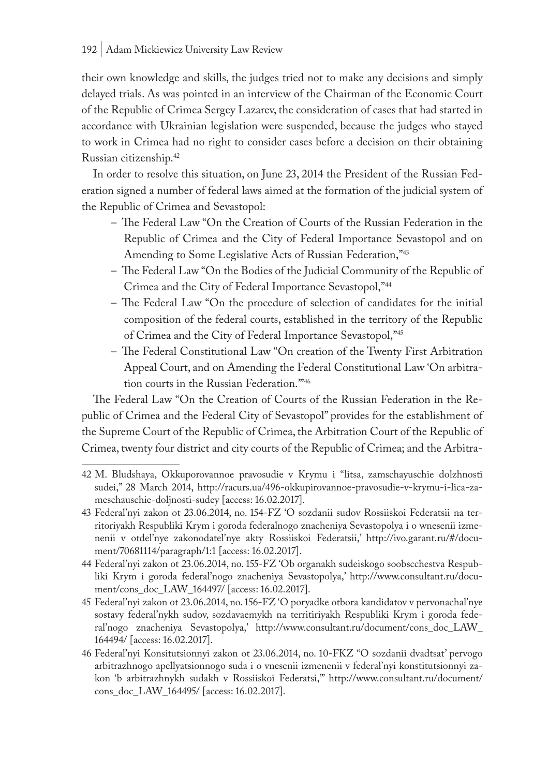their own knowledge and skills, the judges tried not to make any decisions and simply delayed trials. As was pointed in an interview of the Chairman of the Economic Court of the Republic of Crimea Sergey Lazarev, the consideration of cases that had started in accordance with Ukrainian legislation were suspended, because the judges who stayed to work in Crimea had no right to consider cases before a decision on their obtaining Russian citizenship.42

In order to resolve this situation, on June 23, 2014 the President of the Russian Federation signed a number of federal laws aimed at the formation of the judicial system of the Republic of Crimea and Sevastopol:

- The Federal Law "On the Creation of Courts of the Russian Federation in the Republic of Crimea and the City of Federal Importance Sevastopol and on Amending to Some Legislative Acts of Russian Federation,"43
- The Federal Law "On the Bodies of the Judicial Community of the Republic of Crimea and the City of Federal Importance Sevastopol,"44
- The Federal Law "On the procedure of selection of candidates for the initial composition of the federal courts, established in the territory of the Republic of Crimea and the City of Federal Importance Sevastopol,"45
- The Federal Constitutional Law "On creation of the Twenty First Arbitration Appeal Court, and on Amending the Federal Constitutional Law 'On arbitration courts in the Russian Federation.'"46

The Federal Law "On the Creation of Courts of the Russian Federation in the Republic of Crimea and the Federal City of Sevastopol" provides for the establishment of the Supreme Court of the Republic of Crimea, the Arbitration Court of the Republic of Crimea, twenty four district and city courts of the Republic of Crimea; and the Arbitra-

<sup>42</sup> M. Bludshaya, Okkuporovannoe pravosudie v Krymu i "litsa, zamschayuschie dolzhnosti sudei," 28 March 2014, http://racurs.ua/496-okkupirovannoe-pravosudie-v-krymu-i-lica-zameschauschie-doljnosti-sudey [access: 16.02.2017].

<sup>43</sup> Federal'nyi zakon ot 23.06.2014, no. 154-FZ 'O sozdanii sudov Rossiiskoi Federatsii na territoriyakh Respubliki Krym i goroda federalnogo znacheniya Sevastopolya i o wnesenii izmenenii v otdel'nye zakonodatel'nye akty Rossiiskoi Federatsii,' http://ivo.garant.ru/#/document/70681114/paragraph/1:1 [access: 16.02.2017].

<sup>44</sup> Federal'nyi zakon ot 23.06.2014, no. 155-FZ 'Ob organakh sudeiskogo soobscchestva Respubliki Krym i goroda federal'nogo znacheniya Sevastopolya,' http://www.consultant.ru/document/cons\_doc\_LAW\_164497/ [access: 16.02.2017].

<sup>45</sup> Federal'nyi zakon ot 23.06.2014, no. 156-FZ 'O poryadke otbora kandidatov v pervonachal'nye sostavy federal'nykh sudov, sozdavaemykh na territiriyakh Respubliki Krym i goroda federal'nogo znacheniya Sevastopolya,' http://www.consultant.ru/document/cons\_doc\_LAW\_ 164494/ [access: 16.02.2017].

<sup>46</sup> Federal'nyi Konsitutsionnyi zakon ot 23.06.2014, no. 10-FKZ "O sozdanii dvadtsat' pervogo arbitrazhnogo apellyatsionnogo suda i o vnesenii izmenenii v federal'nyi konstitutsionnyi zakon 'b arbitrazhnykh sudakh v Rossiiskoi Federatsi,'" http://www.consultant.ru/document/ cons\_doc\_LAW\_164495/ [access: 16.02.2017].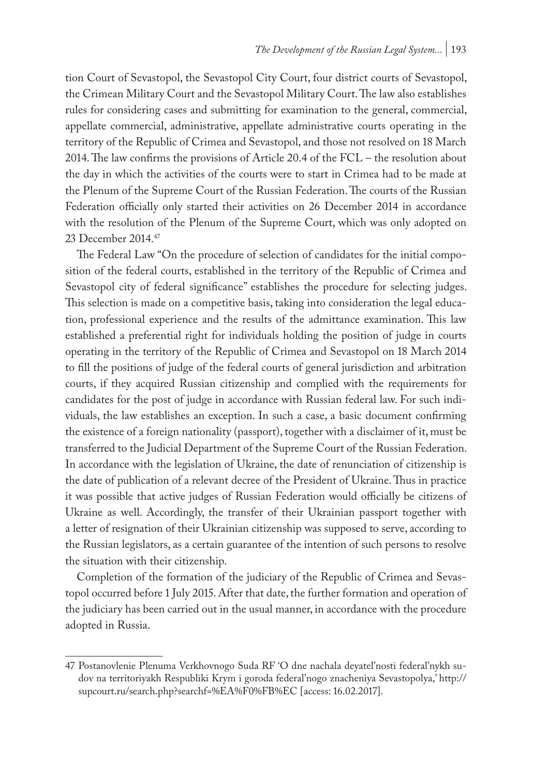tion Court of Sevastopol, the Sevastopol City Court, four district courts of Sevastopol, the Crimean Military Court and the Sevastopol Military Court. The law also establishes rules for considering cases and submitting for examination to the general, commercial, appellate commercial, administrative, appellate administrative courts operating in the territory of the Republic of Crimea and Sevastopol, and those not resolved on 18 March 2014. The law confirms the provisions of Article 20.4 of the FCL – the resolution about the day in which the activities of the courts were to start in Crimea had to be made at the Plenum of the Supreme Court of the Russian Federation. The courts of the Russian Federation officially only started their activities on 26 December 2014 in accordance with the resolution of the Plenum of the Supreme Court, which was only adopted on 23 December 2014.47

The Federal Law "On the procedure of selection of candidates for the initial composition of the federal courts, established in the territory of the Republic of Crimea and Sevastopol city of federal significance" establishes the procedure for selecting judges. This selection is made on a competitive basis, taking into consideration the legal education, professional experience and the results of the admittance examination. This law established a preferential right for individuals holding the position of judge in courts operating in the territory of the Republic of Crimea and Sevastopol on 18 March 2014 to fill the positions of judge of the federal courts of general jurisdiction and arbitration courts, if they acquired Russian citizenship and complied with the requirements for candidates for the post of judge in accordance with Russian federal law. For such individuals, the law establishes an exception. In such a case, a basic document confirming the existence of a foreign nationality (passport), together with a disclaimer of it, must be transferred to the Judicial Department of the Supreme Court of the Russian Federation. In accordance with the legislation of Ukraine, the date of renunciation of citizenship is the date of publication of a relevant decree of the President of Ukraine. Thus in practice it was possible that active judges of Russian Federation would officially be citizens of Ukraine as well. Accordingly, the transfer of their Ukrainian passport together with a letter of resignation of their Ukrainian citizenship was supposed to serve, according to the Russian legislators, as a certain guarantee of the intention of such persons to resolve the situation with their citizenship.

Completion of the formation of the judiciary of the Republic of Crimea and Sevastopol occurred before 1 July 2015. After that date, the further formation and operation of the judiciary has been carried out in the usual manner, in accordance with the procedure adopted in Russia.

<sup>47</sup> Postanovlenie Plenuma Verkhovnogo Suda RF 'O dne nachala deyatel'nosti federal'nykh sudov na territoriyakh Respubliki Krym i goroda federal'nogo znacheniya Sevastopolya,' http:// supcourt.ru/search.php?searchf=%EA%F0%FB%EC [access: 16.02.2017].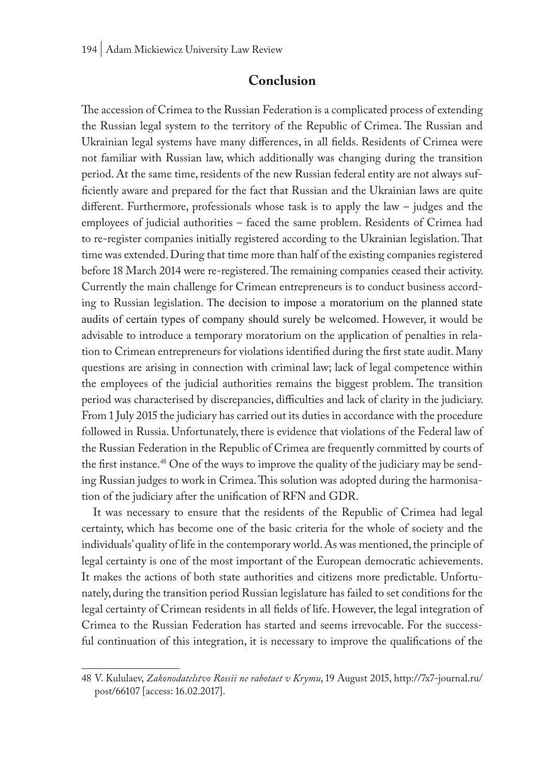# **Conclusion**

The accession of Crimea to the Russian Federation is a complicated process of extending the Russian legal system to the territory of the Republic of Crimea. The Russian and Ukrainian legal systems have many differences, in all fields. Residents of Crimea were not familiar with Russian law, which additionally was changing during the transition period. At the same time, residents of the new Russian federal entity are not always sufficiently aware and prepared for the fact that Russian and the Ukrainian laws are quite different. Furthermore, professionals whose task is to apply the law – judges and the employees of judicial authorities – faced the same problem. Residents of Crimea had to re-register companies initially registered according to the Ukrainian legislation. That time was extended. During that time more than half of the existing companies registered before 18 March 2014 were re-registered. The remaining companies ceased their activity. Currently the main challenge for Crimean entrepreneurs is to conduct business according to Russian legislation. The decision to impose a moratorium on the planned state audits of certain types of company should surely be welcomed. However, it would be advisable to introduce a temporary moratorium on the application of penalties in relation to Crimean entrepreneurs for violations identified during the first state audit. Many questions are arising in connection with criminal law; lack of legal competence within the employees of the judicial authorities remains the biggest problem. The transition period was characterised by discrepancies, difficulties and lack of clarity in the judiciary. From 1 July 2015 the judiciary has carried out its duties in accordance with the procedure followed in Russia. Unfortunately, there is evidence that violations of the Federal law of the Russian Federation in the Republic of Crimea are frequently committed by courts of the first instance.<sup>48</sup> One of the ways to improve the quality of the judiciary may be sending Russian judges to work in Crimea. This solution was adopted during the harmonisation of the judiciary after the unification of RFN and GDR.

It was necessary to ensure that the residents of the Republic of Crimea had legal certainty, which has become one of the basic criteria for the whole of society and the individuals' quality of life in the contemporary world. As was mentioned, the principle of legal certainty is one of the most important of the European democratic achievements. It makes the actions of both state authorities and citizens more predictable. Unfortunately, during the transition period Russian legislature has failed to set conditions for the legal certainty of Crimean residents in all fields of life. However, the legal integration of Crimea to the Russian Federation has started and seems irrevocable. For the successful continuation of this integration, it is necessary to improve the qualifications of the

<sup>48</sup> V. Kululaev, *Zakonodatelstvo Rossii ne rabotaet v Krymu*, 19 August 2015, http://7x7-journal.ru/ post/66107 [access: 16.02.2017].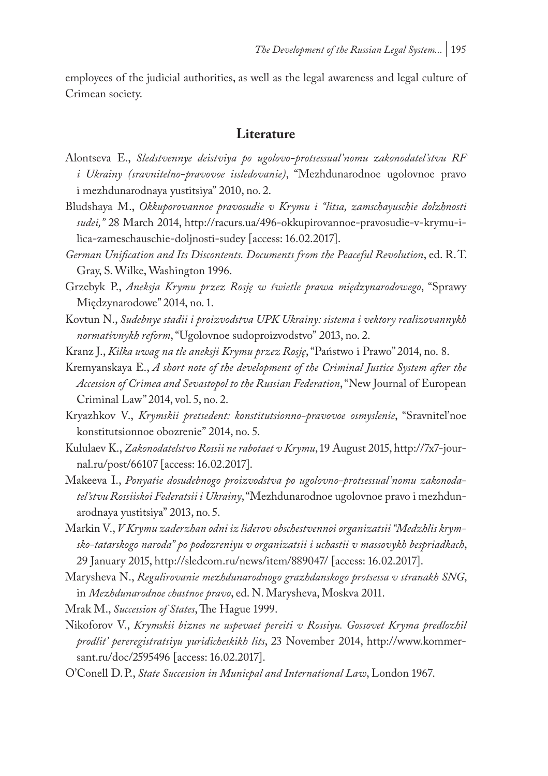employees of the judicial authorities, as well as the legal awareness and legal culture of Crimean society.

#### **Literature**

- Alontseva E., *Sledstvennye deistviya po ugolovo-protsessual'nomu zakonodatel'stvu RF i Ukrainy (sravnitelno-pravovoe issledovanie)*, "Mezhdunarodnoe ugolovnoe pravo i mezhdunarodnaya yustitsiya" 2010, no. 2.
- Bludshaya M., *Okkuporovannoe pravosudie v Krymu i "litsa, zamschayuschie dolzhnosti sudei,"* 28 March 2014, http://racurs.ua/496-okkupirovannoe-pravosudie-v-krymu-ilica-zameschauschie-doljnosti-sudey [access: 16.02.2017].
- *German Unification and Its Discontents. Documents from the Peaceful Revolution*, ed. R.T. Gray, S. Wilke, Washington 1996.
- Grzebyk P., *Aneksja Krymu przez Rosję w świetle prawa międzynarodowego*, "Sprawy Międzynarodowe" 2014, no. 1.
- Kovtun N., *Sudebnye stadii i proizvodstva UPK Ukrainy: sistema i vektory realizovannykh normativnykh reform*, "Ugolovnoe sudoproizvodstvo" 2013, no. 2.
- Kranz J., *Kilka uwag na tle aneksji Krymu przez Rosję*, "Państwo i Prawo" 2014, no. 8.
- Kremyanskaya E., *A short note of the development of the Criminal Justice System after the Accession of Crimea and Sevastopol to the Russian Federation*, "New Journal of European Criminal Law" 2014, vol. 5, no. 2.
- Kryazhkov V., *Krymskii pretsedent: konstitutsionno-pravovoe osmyslenie*, "Sravnitel'noe konstitutsionnoe obozrenie" 2014, no. 5.
- Kululaev K., *Zakonodatelstvo Rossii ne rabotaet v Krymu*, 19 August 2015, http://7x7-journal.ru/post/66107 [access: 16.02.2017].
- Makeeva I., *Ponyatie dosudebnogo proizvodstva po ugolovno-protsessual'nomu zakonodatel'stvu Rossiiskoi Federatsii i Ukrainy*, "Mezhdunarodnoe ugolovnoe pravo i mezhdunarodnaya yustitsiya" 2013, no. 5.
- Markin V., *V Krymu zaderzhan odni iz liderov obschestvennoi organizatsii "Medzhlis krymsko-tatarskogo naroda" po podozreniyu v organizatsii i uchastii v massovykh bespriadkach*, 29 January 2015, http://sledcom.ru/news/item/889047/ [access: 16.02.2017].
- Marysheva N., *Regulirovanie mezhdunarodnogo grazhdanskogo protsessa v stranakh SNG*, in *Mezhdunarodnoe chastnoe pravo*, ed. N. Marysheva, Moskva 2011.

Mrak M., *Succession of States*, The Hague 1999.

- Nikoforov V., *Krymskii biznes ne uspevaet pereiti v Rossiyu. Gossovet Kryma predlozhil prodlit' pereregistratsiyu yuridicheskikh lits*, 23 November 2014, http://www.kommersant.ru/doc/2595496 [access: 16.02.2017].
- O'Conell D.P., *State Succession in Municpal and International Law*, London 1967.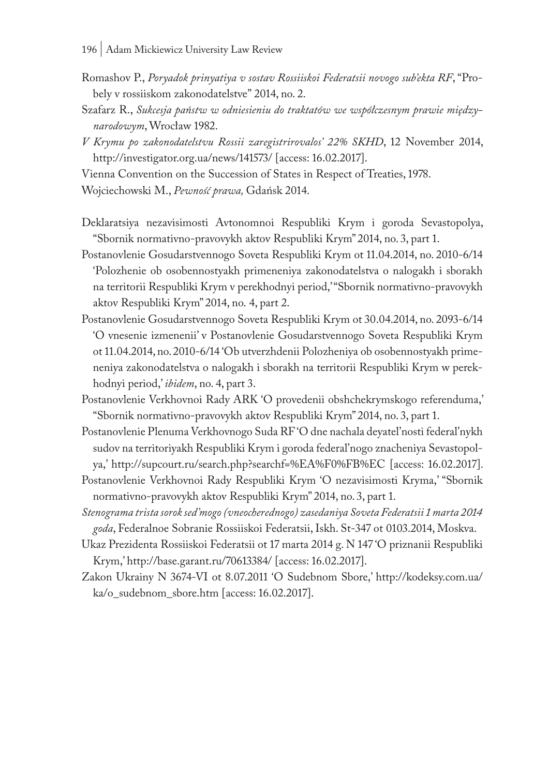- Romashov P., *Poryadok prinyatiya v sostav Rossiiskoi Federatsii novogo sub'ekta RF*, "Probely v rossiiskom zakonodatelstve" 2014, no. 2.
- Szafarz R., *Sukcesja państw w odniesieniu do traktatów we współczesnym prawie międzynarodowym*, Wrocław 1982.
- *V Krymu po zakonodatelstvu Rossii zaregistrirovalos' 22% SKHD*, 12 November 2014, http://investigator.org.ua/news/141573/ [access: 16.02.2017].

Vienna Convention on the Succession of States in Respect of Treaties, 1978.

Wojciechowski M., *Pewność prawa,* Gdańsk 2014.

- Deklaratsiya nezavisimosti Avtonomnoi Respubliki Krym i goroda Sevastopolya, "Sbornik normativno-pravovykh aktov Respubliki Krym" 2014, no. 3, part 1.
- Postanovlenie Gosudarstvennogo Soveta Respubliki Krym ot 11.04.2014, no. 2010-6/14 'Polozhenie ob osobennostyakh primeneniya zakonodatelstva o nalogakh i sborakh na territorii Respubliki Krym v perekhodnyi period,' "Sbornik normativno-pravovykh aktov Respubliki Krym" 2014, no. 4, part 2.
- Postanovlenie Gosudarstvennogo Soveta Respubliki Krym ot 30.04.2014, no. 2093-6/14 'O vnesenie izmenenii' v Postanovlenie Gosudarstvennogo Soveta Respubliki Krym ot 11.04.2014, no. 2010-6/14 'Ob utverzhdenii Polozheniya ob osobennostyakh primeneniya zakonodatelstva o nalogakh i sborakh na territorii Respubliki Krym w perekhodnyi period,' *ibidem*, no. 4, part 3.
- Postanovlenie Verkhovnoi Rady ARK 'O provedenii obshchekrymskogo referenduma,' "Sbornik normativno-pravovykh aktov Respubliki Krym" 2014, no. 3, part 1.
- Postanovlenie Plenuma Verkhovnogo Suda RF 'O dne nachala deyatel'nosti federal'nykh sudov na territoriyakh Respubliki Krym i goroda federal'nogo znacheniya Sevastopolya,' http://supcourt.ru/search.php?searchf=%EA%F0%FB%EC [access: 16.02.2017].
- Postanovlenie Verkhovnoi Rady Respubliki Krym 'O nezavisimosti Kryma,' "Sbornik normativno-pravovykh aktov Respubliki Krym" 2014, no. 3, part 1.
- *Stenograma trista sorok sed'mogo (vneocherednogo) zasedaniya Soveta Federatsii 1 marta 2014 goda*, Federalnoe Sobranie Rossiiskoi Federatsii, Iskh. St-347 ot 0103.2014, Moskva.
- Ukaz Prezidenta Rossiiskoi Federatsii ot 17 marta 2014 g. N 147 'O priznanii Respubliki Krym,' http://base.garant.ru/70613384/ [access: 16.02.2017].
- Zakon Ukrainy N 3674-VI ot 8.07.2011 'O Sudebnom Sbore,' http://kodeksy.com.ua/ ka/o\_sudebnom\_sbore.htm [access: 16.02.2017].